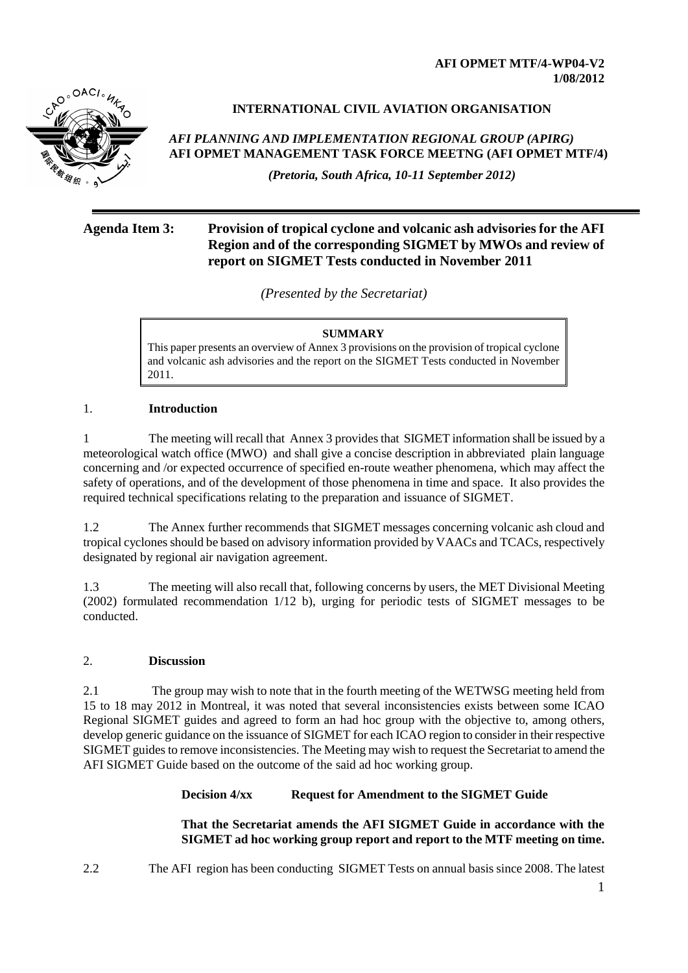**AFI OPMET MTF/4-WP04-V2 1/08/2012**



### **INTERNATIONAL CIVIL AVIATION ORGANISATION**

*AFI PLANNING AND IMPLEMENTATION REGIONAL GROUP (APIRG)* **AFI OPMET MANAGEMENT TASK FORCE MEETNG (AFI OPMET MTF/4)** 

*(Pretoria, South Africa, 10-11 September 2012)*

# **Agenda Item 3: Provision of tropical cyclone and volcanic ash advisories for the AFI Region and of the corresponding SIGMET by MWOs and review of report on SIGMET Tests conducted in November 2011**

*(Presented by the Secretariat)*

#### **SUMMARY**

This paper presents an overview of Annex 3 provisions on the provision of tropical cyclone and volcanic ash advisories and the report on the SIGMET Tests conducted in November 2011.

### 1. **Introduction**

1 The meeting will recall that Annex 3 provides that SIGMET information shall be issued by a meteorological watch office (MWO) and shall give a concise description in abbreviated plain language concerning and /or expected occurrence of specified en-route weather phenomena, which may affect the safety of operations, and of the development of those phenomena in time and space. It also provides the required technical specifications relating to the preparation and issuance of SIGMET.

1.2 The Annex further recommends that SIGMET messages concerning volcanic ash cloud and tropical cyclones should be based on advisory information provided by VAACs and TCACs, respectively designated by regional air navigation agreement.

1.3 The meeting will also recall that, following concerns by users, the MET Divisional Meeting (2002) formulated recommendation 1/12 b), urging for periodic tests of SIGMET messages to be conducted.

### 2. **Discussion**

2.1 The group may wish to note that in the fourth meeting of the WETWSG meeting held from 15 to 18 may 2012 in Montreal, it was noted that several inconsistencies exists between some ICAO Regional SIGMET guides and agreed to form an had hoc group with the objective to, among others, develop generic guidance on the issuance of SIGMET for each ICAO region to consider in their respective SIGMET guides to remove inconsistencies. The Meeting may wish to request the Secretariat to amend the AFI SIGMET Guide based on the outcome of the said ad hoc working group.

### **Decision 4/xx Request for Amendment to the SIGMET Guide**

**That the Secretariat amends the AFI SIGMET Guide in accordance with the SIGMET ad hoc working group report and report to the MTF meeting on time.**

2.2 The AFI region has been conducting SIGMET Tests on annual basis since 2008. The latest